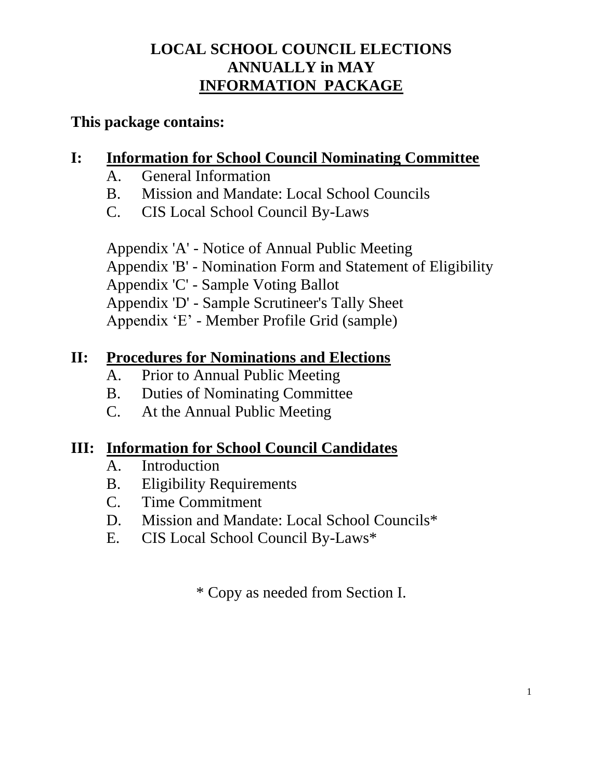# **LOCAL SCHOOL COUNCIL ELECTIONS ANNUALLY in MAY INFORMATION PACKAGE**

# **This package contains:**

# **I: Information for School Council Nominating Committee**

- A. General Information
- B. Mission and Mandate: Local School Councils
- C. CIS Local School Council By-Laws

Appendix 'A' - Notice of Annual Public Meeting Appendix 'B' - Nomination Form and Statement of Eligibility Appendix 'C' - Sample Voting Ballot Appendix 'D' - Sample Scrutineer's Tally Sheet Appendix 'E' - Member Profile Grid (sample)

# **II: Procedures for Nominations and Elections**

- A. Prior to Annual Public Meeting
- B. Duties of Nominating Committee
- C. At the Annual Public Meeting

# **III: Information for School Council Candidates**

- A. Introduction
- B. Eligibility Requirements
- C. Time Commitment
- D. Mission and Mandate: Local School Councils\*
- E. CIS Local School Council By-Laws\*

\* Copy as needed from Section I.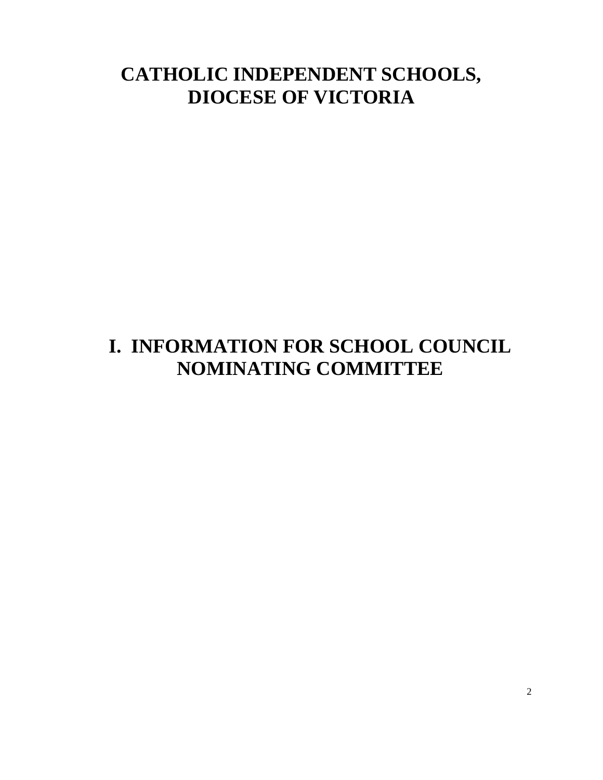# **CATHOLIC INDEPENDENT SCHOOLS, DIOCESE OF VICTORIA**

# **I. INFORMATION FOR SCHOOL COUNCIL NOMINATING COMMITTEE**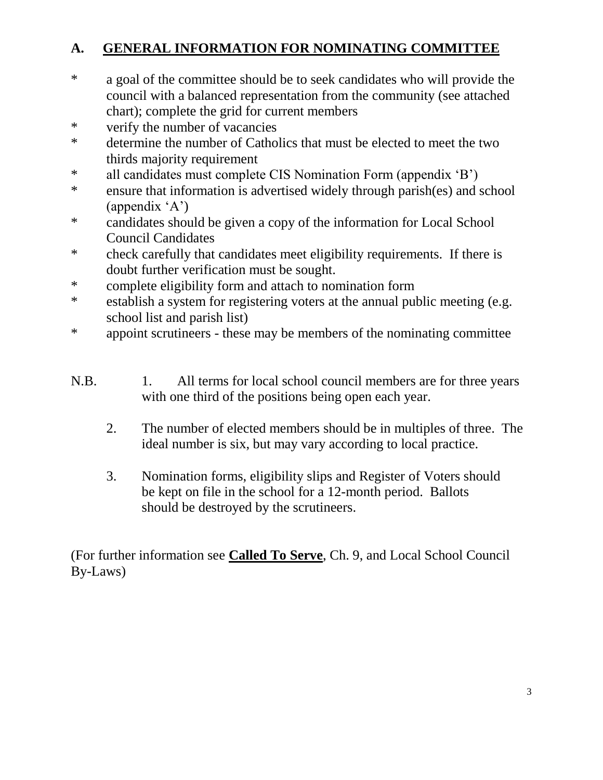# **A. GENERAL INFORMATION FOR NOMINATING COMMITTEE**

- \* a goal of the committee should be to seek candidates who will provide the council with a balanced representation from the community (see attached chart); complete the grid for current members
- \* verify the number of vacancies
- \* determine the number of Catholics that must be elected to meet the two thirds majority requirement
- \* all candidates must complete CIS Nomination Form (appendix 'B')
- \* ensure that information is advertised widely through parish(es) and school (appendix 'A')
- \* candidates should be given a copy of the information for Local School Council Candidates
- \* check carefully that candidates meet eligibility requirements. If there is doubt further verification must be sought.
- \* complete eligibility form and attach to nomination form
- \* establish a system for registering voters at the annual public meeting (e.g. school list and parish list)
- \* appoint scrutineers these may be members of the nominating committee
- N.B. 1. All terms for local school council members are for three years with one third of the positions being open each year.
	- 2. The number of elected members should be in multiples of three. The ideal number is six, but may vary according to local practice.
	- 3. Nomination forms, eligibility slips and Register of Voters should be kept on file in the school for a 12-month period. Ballots should be destroyed by the scrutineers.

(For further information see **Called To Serve**, Ch. 9, and Local School Council By-Laws)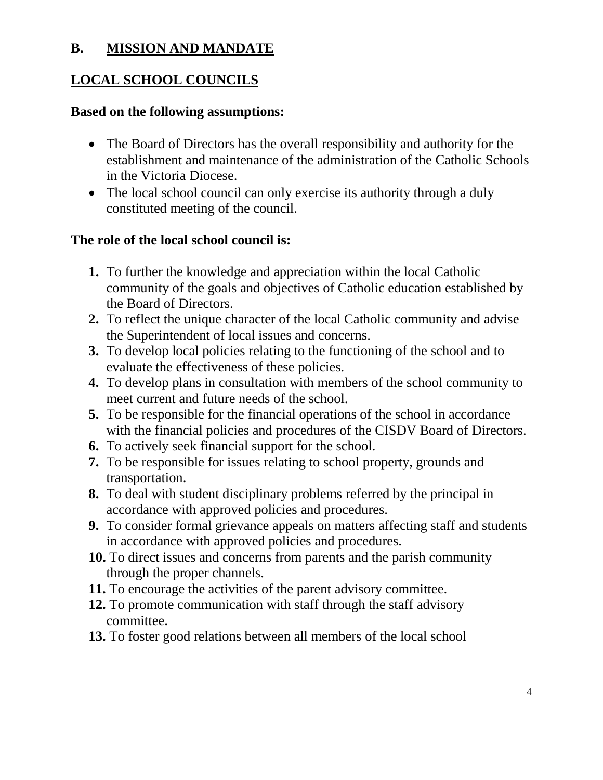### **B. MISSION AND MANDATE**

## **LOCAL SCHOOL COUNCILS**

#### **Based on the following assumptions:**

- The Board of Directors has the overall responsibility and authority for the establishment and maintenance of the administration of the Catholic Schools in the Victoria Diocese.
- The local school council can only exercise its authority through a duly constituted meeting of the council.

#### **The role of the local school council is:**

- **1.** To further the knowledge and appreciation within the local Catholic community of the goals and objectives of Catholic education established by the Board of Directors.
- **2.** To reflect the unique character of the local Catholic community and advise the Superintendent of local issues and concerns.
- **3.** To develop local policies relating to the functioning of the school and to evaluate the effectiveness of these policies.
- **4.** To develop plans in consultation with members of the school community to meet current and future needs of the school.
- **5.** To be responsible for the financial operations of the school in accordance with the financial policies and procedures of the CISDV Board of Directors.
- **6.** To actively seek financial support for the school.
- **7.** To be responsible for issues relating to school property, grounds and transportation.
- **8.** To deal with student disciplinary problems referred by the principal in accordance with approved policies and procedures.
- **9.** To consider formal grievance appeals on matters affecting staff and students in accordance with approved policies and procedures.
- **10.** To direct issues and concerns from parents and the parish community through the proper channels.
- **11.** To encourage the activities of the parent advisory committee.
- **12.** To promote communication with staff through the staff advisory committee.
- **13.** To foster good relations between all members of the local school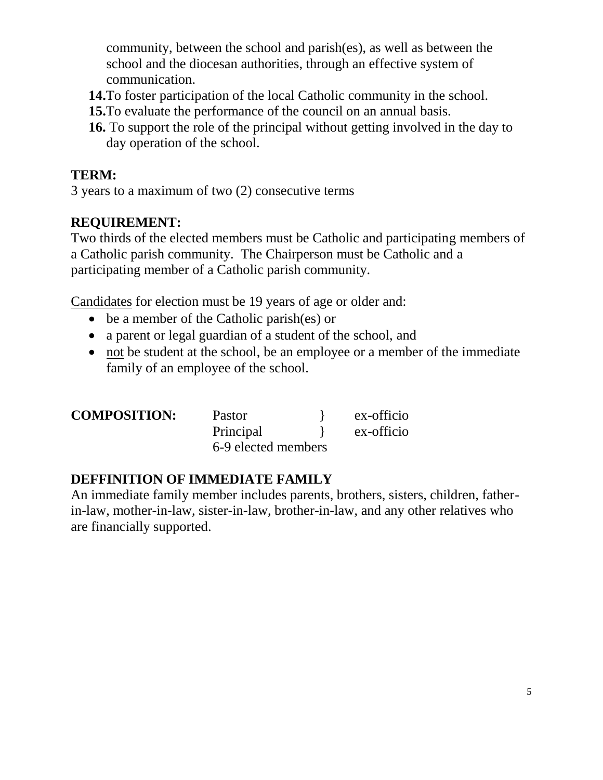community, between the school and parish(es), as well as between the school and the diocesan authorities, through an effective system of communication.

- **14.**To foster participation of the local Catholic community in the school.
- **15.**To evaluate the performance of the council on an annual basis.
- **16.** To support the role of the principal without getting involved in the day to day operation of the school.

## **TERM:**

3 years to a maximum of two (2) consecutive terms

## **REQUIREMENT:**

Two thirds of the elected members must be Catholic and participating members of a Catholic parish community. The Chairperson must be Catholic and a participating member of a Catholic parish community.

Candidates for election must be 19 years of age or older and:

- be a member of the Catholic parish(es) or
- a parent or legal guardian of a student of the school, and
- not be student at the school, be an employee or a member of the immediate family of an employee of the school.

| <b>COMPOSITION:</b> | Pastor              | ex-officio |
|---------------------|---------------------|------------|
|                     | Principal           | ex-officio |
|                     | 6-9 elected members |            |

## **DEFFINITION OF IMMEDIATE FAMILY**

An immediate family member includes parents, brothers, sisters, children, fatherin-law, mother-in-law, sister-in-law, brother-in-law, and any other relatives who are financially supported.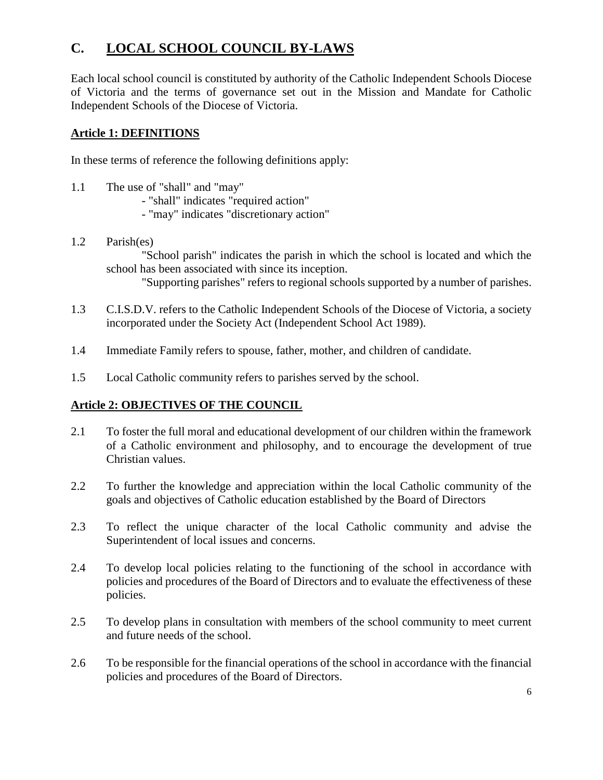## **C. LOCAL SCHOOL COUNCIL BY-LAWS**

Each local school council is constituted by authority of the Catholic Independent Schools Diocese of Victoria and the terms of governance set out in the Mission and Mandate for Catholic Independent Schools of the Diocese of Victoria.

#### **Article 1: DEFINITIONS**

In these terms of reference the following definitions apply:

- 1.1 The use of "shall" and "may"
	- "shall" indicates "required action"
	- "may" indicates "discretionary action"
- 1.2 Parish(es)

"School parish" indicates the parish in which the school is located and which the school has been associated with since its inception.

"Supporting parishes" refers to regional schools supported by a number of parishes.

- 1.3 C.I.S.D.V. refers to the Catholic Independent Schools of the Diocese of Victoria, a society incorporated under the Society Act (Independent School Act 1989).
- 1.4 Immediate Family refers to spouse, father, mother, and children of candidate.
- 1.5 Local Catholic community refers to parishes served by the school.

#### **Article 2: OBJECTIVES OF THE COUNCIL**

- 2.1 To foster the full moral and educational development of our children within the framework of a Catholic environment and philosophy, and to encourage the development of true Christian values.
- 2.2 To further the knowledge and appreciation within the local Catholic community of the goals and objectives of Catholic education established by the Board of Directors
- 2.3 To reflect the unique character of the local Catholic community and advise the Superintendent of local issues and concerns.
- 2.4 To develop local policies relating to the functioning of the school in accordance with policies and procedures of the Board of Directors and to evaluate the effectiveness of these policies.
- 2.5 To develop plans in consultation with members of the school community to meet current and future needs of the school.
- 2.6 To be responsible for the financial operations of the school in accordance with the financial policies and procedures of the Board of Directors.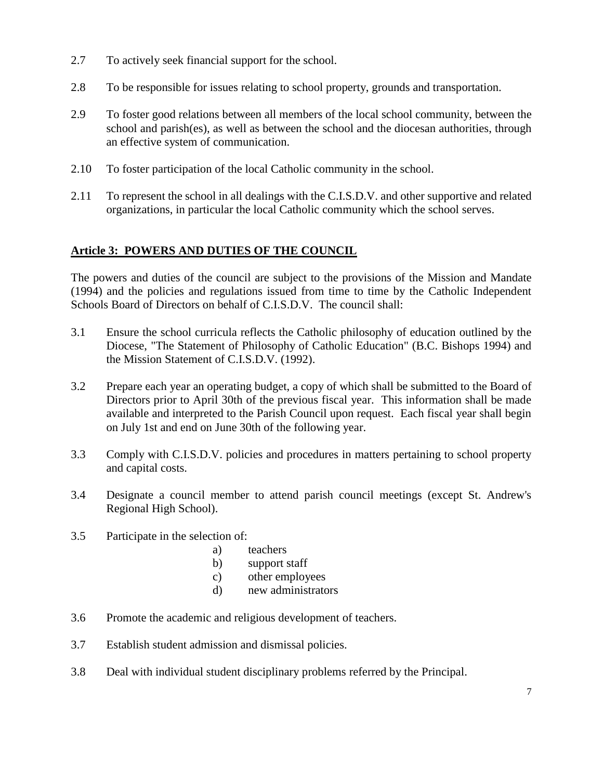- 2.7 To actively seek financial support for the school.
- 2.8 To be responsible for issues relating to school property, grounds and transportation.
- 2.9 To foster good relations between all members of the local school community, between the school and parish(es), as well as between the school and the diocesan authorities, through an effective system of communication.
- 2.10 To foster participation of the local Catholic community in the school.
- 2.11 To represent the school in all dealings with the C.I.S.D.V. and other supportive and related organizations, in particular the local Catholic community which the school serves.

#### **Article 3: POWERS AND DUTIES OF THE COUNCIL**

The powers and duties of the council are subject to the provisions of the Mission and Mandate (1994) and the policies and regulations issued from time to time by the Catholic Independent Schools Board of Directors on behalf of C.I.S.D.V. The council shall:

- 3.1 Ensure the school curricula reflects the Catholic philosophy of education outlined by the Diocese, "The Statement of Philosophy of Catholic Education" (B.C. Bishops 1994) and the Mission Statement of C.I.S.D.V. (1992).
- 3.2 Prepare each year an operating budget, a copy of which shall be submitted to the Board of Directors prior to April 30th of the previous fiscal year. This information shall be made available and interpreted to the Parish Council upon request. Each fiscal year shall begin on July 1st and end on June 30th of the following year.
- 3.3 Comply with C.I.S.D.V. policies and procedures in matters pertaining to school property and capital costs.
- 3.4 Designate a council member to attend parish council meetings (except St. Andrew's Regional High School).
- 3.5 Participate in the selection of:
	- a) teachers
	- b) support staff
	- c) other employees
	- d) new administrators
- 3.6 Promote the academic and religious development of teachers.
- 3.7 Establish student admission and dismissal policies.
- 3.8 Deal with individual student disciplinary problems referred by the Principal.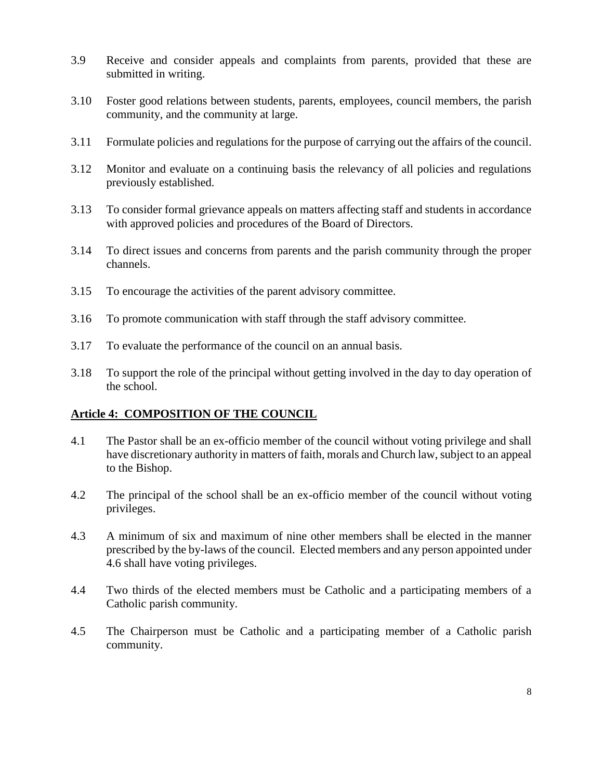- 3.9 Receive and consider appeals and complaints from parents, provided that these are submitted in writing.
- 3.10 Foster good relations between students, parents, employees, council members, the parish community, and the community at large.
- 3.11 Formulate policies and regulations for the purpose of carrying out the affairs of the council.
- 3.12 Monitor and evaluate on a continuing basis the relevancy of all policies and regulations previously established.
- 3.13 To consider formal grievance appeals on matters affecting staff and students in accordance with approved policies and procedures of the Board of Directors.
- 3.14 To direct issues and concerns from parents and the parish community through the proper channels.
- 3.15 To encourage the activities of the parent advisory committee.
- 3.16 To promote communication with staff through the staff advisory committee.
- 3.17 To evaluate the performance of the council on an annual basis.
- 3.18 To support the role of the principal without getting involved in the day to day operation of the school.

#### **Article 4: COMPOSITION OF THE COUNCIL**

- 4.1 The Pastor shall be an ex-officio member of the council without voting privilege and shall have discretionary authority in matters of faith, morals and Church law, subject to an appeal to the Bishop.
- 4.2 The principal of the school shall be an ex-officio member of the council without voting privileges.
- 4.3 A minimum of six and maximum of nine other members shall be elected in the manner prescribed by the by-laws of the council. Elected members and any person appointed under 4.6 shall have voting privileges.
- 4.4 Two thirds of the elected members must be Catholic and a participating members of a Catholic parish community.
- 4.5 The Chairperson must be Catholic and a participating member of a Catholic parish community.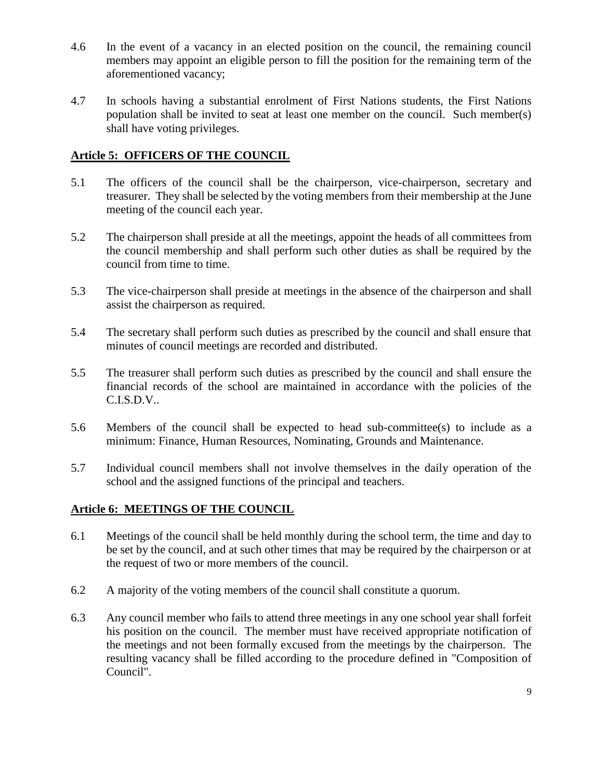- 4.6 In the event of a vacancy in an elected position on the council, the remaining council members may appoint an eligible person to fill the position for the remaining term of the aforementioned vacancy;
- 4.7 In schools having a substantial enrolment of First Nations students, the First Nations population shall be invited to seat at least one member on the council. Such member(s) shall have voting privileges.

#### **Article 5: OFFICERS OF THE COUNCIL**

- 5.1 The officers of the council shall be the chairperson, vice-chairperson, secretary and treasurer. They shall be selected by the voting members from their membership at the June meeting of the council each year.
- 5.2 The chairperson shall preside at all the meetings, appoint the heads of all committees from the council membership and shall perform such other duties as shall be required by the council from time to time.
- 5.3 The vice-chairperson shall preside at meetings in the absence of the chairperson and shall assist the chairperson as required.
- 5.4 The secretary shall perform such duties as prescribed by the council and shall ensure that minutes of council meetings are recorded and distributed.
- 5.5 The treasurer shall perform such duties as prescribed by the council and shall ensure the financial records of the school are maintained in accordance with the policies of the  $C.I.S.D.V.$
- 5.6 Members of the council shall be expected to head sub-committee(s) to include as a minimum: Finance, Human Resources, Nominating, Grounds and Maintenance.
- 5.7 Individual council members shall not involve themselves in the daily operation of the school and the assigned functions of the principal and teachers.

#### **Article 6: MEETINGS OF THE COUNCIL**

- 6.1 Meetings of the council shall be held monthly during the school term, the time and day to be set by the council, and at such other times that may be required by the chairperson or at the request of two or more members of the council.
- 6.2 A majority of the voting members of the council shall constitute a quorum.
- 6.3 Any council member who fails to attend three meetings in any one school year shall forfeit his position on the council. The member must have received appropriate notification of the meetings and not been formally excused from the meetings by the chairperson. The resulting vacancy shall be filled according to the procedure defined in "Composition of Council".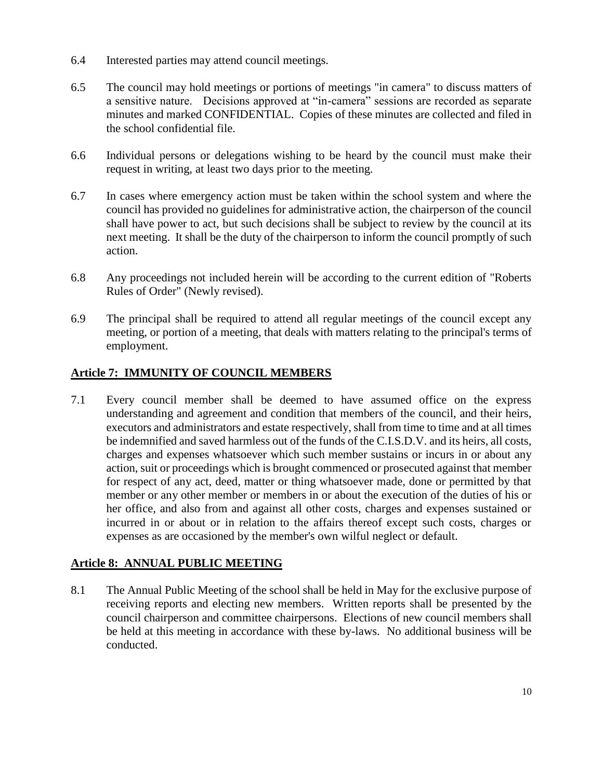- 6.4 Interested parties may attend council meetings.
- 6.5 The council may hold meetings or portions of meetings "in camera" to discuss matters of a sensitive nature. Decisions approved at "in-camera" sessions are recorded as separate minutes and marked CONFIDENTIAL. Copies of these minutes are collected and filed in the school confidential file.
- 6.6 Individual persons or delegations wishing to be heard by the council must make their request in writing, at least two days prior to the meeting.
- 6.7 In cases where emergency action must be taken within the school system and where the council has provided no guidelines for administrative action, the chairperson of the council shall have power to act, but such decisions shall be subject to review by the council at its next meeting. It shall be the duty of the chairperson to inform the council promptly of such action.
- 6.8 Any proceedings not included herein will be according to the current edition of "Roberts Rules of Order" (Newly revised).
- 6.9 The principal shall be required to attend all regular meetings of the council except any meeting, or portion of a meeting, that deals with matters relating to the principal's terms of employment.

#### **Article 7: IMMUNITY OF COUNCIL MEMBERS**

7.1 Every council member shall be deemed to have assumed office on the express understanding and agreement and condition that members of the council, and their heirs, executors and administrators and estate respectively, shall from time to time and at all times be indemnified and saved harmless out of the funds of the C.I.S.D.V. and its heirs, all costs, charges and expenses whatsoever which such member sustains or incurs in or about any action, suit or proceedings which is brought commenced or prosecuted against that member for respect of any act, deed, matter or thing whatsoever made, done or permitted by that member or any other member or members in or about the execution of the duties of his or her office, and also from and against all other costs, charges and expenses sustained or incurred in or about or in relation to the affairs thereof except such costs, charges or expenses as are occasioned by the member's own wilful neglect or default.

#### **Article 8: ANNUAL PUBLIC MEETING**

8.1 The Annual Public Meeting of the school shall be held in May for the exclusive purpose of receiving reports and electing new members. Written reports shall be presented by the council chairperson and committee chairpersons. Elections of new council members shall be held at this meeting in accordance with these by-laws. No additional business will be conducted.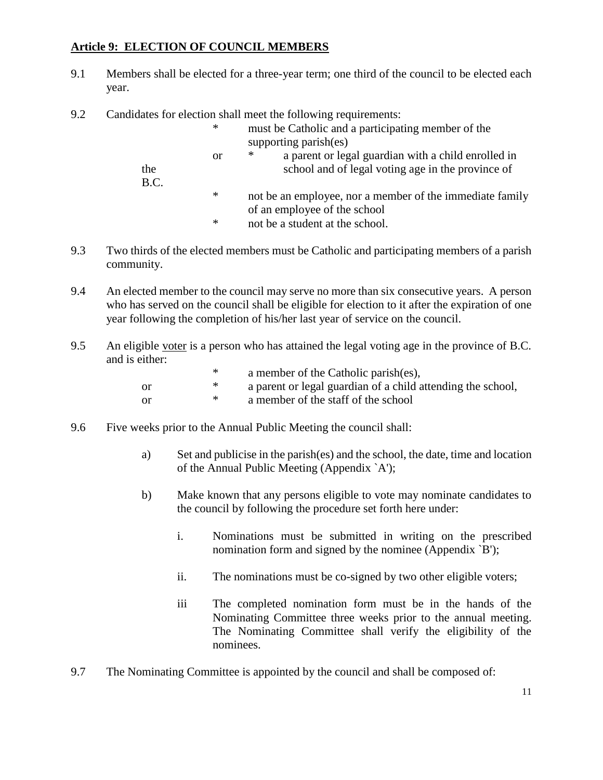#### **Article 9: ELECTION OF COUNCIL MEMBERS**

- 9.1 Members shall be elected for a three-year term; one third of the council to be elected each year.
- 9.2 Candidates for election shall meet the following requirements:

| the  | <b>or</b> | supporting parish(es)<br>∗<br>a parent or legal guardian with a child enrolled in<br>school and of legal voting age in the province of |
|------|-----------|----------------------------------------------------------------------------------------------------------------------------------------|
| B.C. | ∗<br>∗    | not be an employee, nor a member of the immediate family<br>of an employee of the school<br>not be a student at the school.            |

- 9.3 Two thirds of the elected members must be Catholic and participating members of a parish community.
- 9.4 An elected member to the council may serve no more than six consecutive years. A person who has served on the council shall be eligible for election to it after the expiration of one year following the completion of his/her last year of service on the council.
- 9.5 An eligible voter is a person who has attained the legal voting age in the province of B.C. and is either:

|     | ∗ | a member of the Catholic parish(es),                        |
|-----|---|-------------------------------------------------------------|
| -or | ∗ | a parent or legal guardian of a child attending the school, |
| -or | ∗ | a member of the staff of the school                         |

- 9.6 Five weeks prior to the Annual Public Meeting the council shall:
	- a) Set and publicise in the parish(es) and the school, the date, time and location of the Annual Public Meeting (Appendix `A');
	- b) Make known that any persons eligible to vote may nominate candidates to the council by following the procedure set forth here under:
		- i. Nominations must be submitted in writing on the prescribed nomination form and signed by the nominee (Appendix `B');
		- ii. The nominations must be co-signed by two other eligible voters;
		- iii The completed nomination form must be in the hands of the Nominating Committee three weeks prior to the annual meeting. The Nominating Committee shall verify the eligibility of the nominees.
- 9.7 The Nominating Committee is appointed by the council and shall be composed of: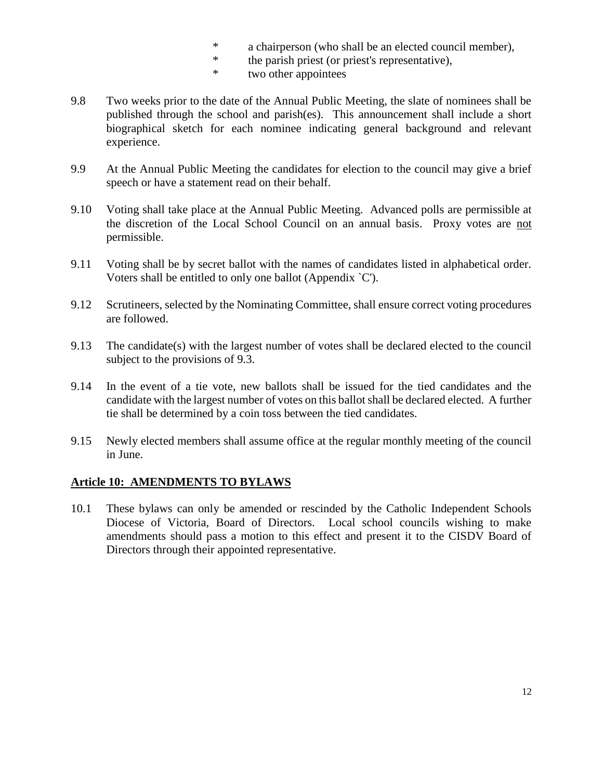- \* a chairperson (who shall be an elected council member),<br>
\* the parish priest (or priest's representative)
- \* the parish priest (or priest's representative),<br> $*$  two other appointes
- two other appointees
- 9.8 Two weeks prior to the date of the Annual Public Meeting, the slate of nominees shall be published through the school and parish(es). This announcement shall include a short biographical sketch for each nominee indicating general background and relevant experience.
- 9.9 At the Annual Public Meeting the candidates for election to the council may give a brief speech or have a statement read on their behalf.
- 9.10 Voting shall take place at the Annual Public Meeting. Advanced polls are permissible at the discretion of the Local School Council on an annual basis. Proxy votes are not permissible.
- 9.11 Voting shall be by secret ballot with the names of candidates listed in alphabetical order. Voters shall be entitled to only one ballot (Appendix `C').
- 9.12 Scrutineers, selected by the Nominating Committee, shall ensure correct voting procedures are followed.
- 9.13 The candidate(s) with the largest number of votes shall be declared elected to the council subject to the provisions of 9.3.
- 9.14 In the event of a tie vote, new ballots shall be issued for the tied candidates and the candidate with the largest number of votes on this ballot shall be declared elected. A further tie shall be determined by a coin toss between the tied candidates.
- 9.15 Newly elected members shall assume office at the regular monthly meeting of the council in June.

#### **Article 10: AMENDMENTS TO BYLAWS**

10.1 These bylaws can only be amended or rescinded by the Catholic Independent Schools Diocese of Victoria, Board of Directors. Local school councils wishing to make amendments should pass a motion to this effect and present it to the CISDV Board of Directors through their appointed representative.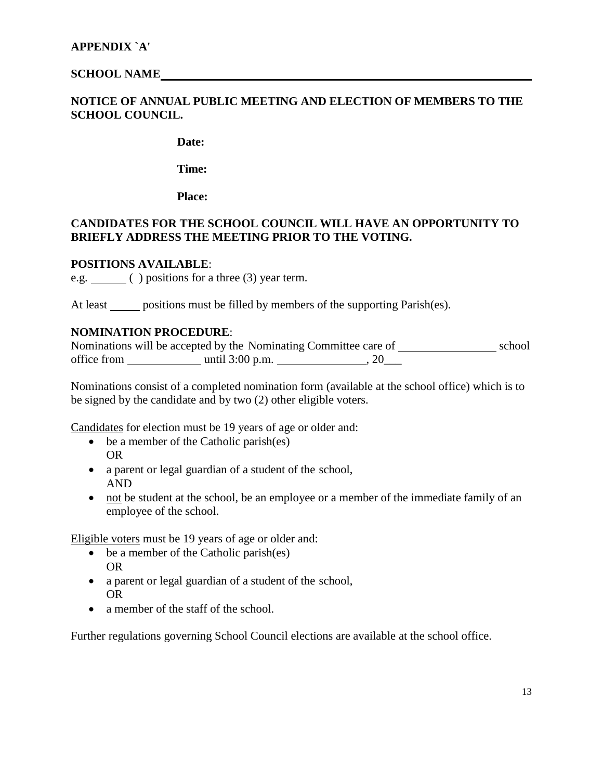#### **SCHOOL NAME**

#### **NOTICE OF ANNUAL PUBLIC MEETING AND ELECTION OF MEMBERS TO THE SCHOOL COUNCIL.**

**Date:**

**Time:**

**Place:**

#### **CANDIDATES FOR THE SCHOOL COUNCIL WILL HAVE AN OPPORTUNITY TO BRIEFLY ADDRESS THE MEETING PRIOR TO THE VOTING.**

#### **POSITIONS AVAILABLE**:

e.g. ( ) positions for a three (3) year term.

At least positions must be filled by members of the supporting Parish(es).

#### **NOMINATION PROCEDURE**:

| Nominations will be accepted by the Nominating Committee care of |                   |     | school |
|------------------------------------------------------------------|-------------------|-----|--------|
| office from                                                      | until $3:00$ p.m. | ZU. |        |

Nominations consist of a completed nomination form (available at the school office) which is to be signed by the candidate and by two (2) other eligible voters.

Candidates for election must be 19 years of age or older and:

- be a member of the Catholic parish(es) OR
- a parent or legal guardian of a student of the school, AND
- not be student at the school, be an employee or a member of the immediate family of an employee of the school.

Eligible voters must be 19 years of age or older and:

- be a member of the Catholic parish(es) OR
- a parent or legal guardian of a student of the school, OR
- a member of the staff of the school.

Further regulations governing School Council elections are available at the school office.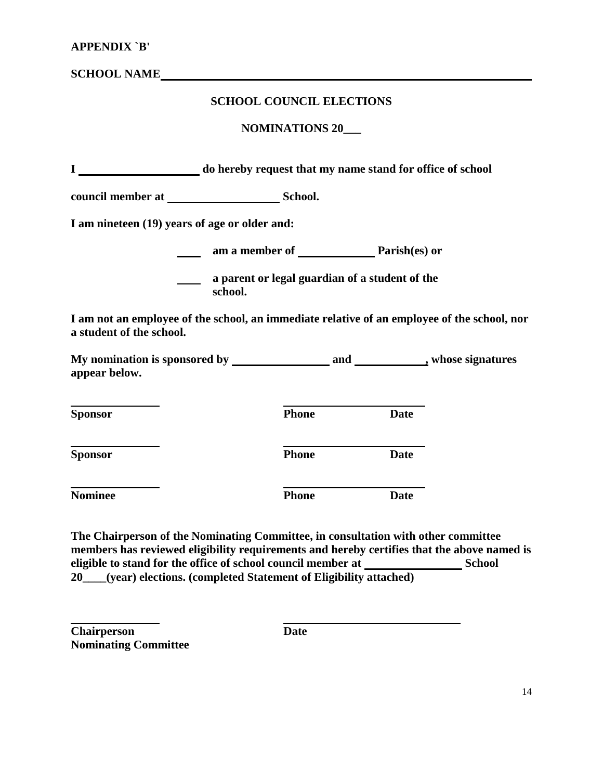| <b>APPENDIX `B'</b>      |                                               |                                                |             |                                                                                             |
|--------------------------|-----------------------------------------------|------------------------------------------------|-------------|---------------------------------------------------------------------------------------------|
|                          | <b>SCHOOL NAME</b>                            |                                                |             |                                                                                             |
|                          |                                               | <b>SCHOOL COUNCIL ELECTIONS</b>                |             |                                                                                             |
|                          |                                               | <b>NOMINATIONS 20</b>                          |             |                                                                                             |
|                          |                                               |                                                |             |                                                                                             |
|                          |                                               |                                                |             |                                                                                             |
|                          | I am nineteen (19) years of age or older and: |                                                |             |                                                                                             |
|                          |                                               | am a member of Parish(es) or                   |             |                                                                                             |
|                          | school.                                       | a parent or legal guardian of a student of the |             |                                                                                             |
| a student of the school. |                                               |                                                |             | I am not an employee of the school, an immediate relative of an employee of the school, nor |
| appear below.            |                                               |                                                |             |                                                                                             |
| <b>Sponsor</b>           |                                               | <b>Phone</b>                                   | <b>Date</b> |                                                                                             |
| <b>Sponsor</b>           |                                               | <b>Phone</b>                                   | <b>Date</b> |                                                                                             |
| <b>Nominee</b>           |                                               | <b>Phone</b>                                   | <b>Date</b> |                                                                                             |

**The Chairperson of the Nominating Committee, in consultation with other committee members has reviewed eligibility requirements and hereby certifies that the above named is eligible to stand for the office of school council member at School 20\_\_\_\_(year) elections. (completed Statement of Eligibility attached)**

**Chairperson Date Nominating Committee**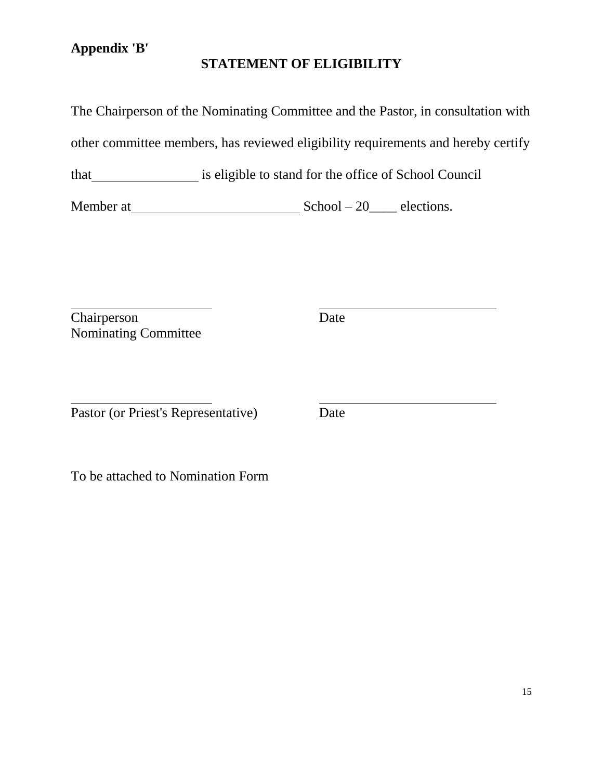## **Appendix 'B'**

## **STATEMENT OF ELIGIBILITY**

The Chairperson of the Nominating Committee and the Pastor, in consultation with

other committee members, has reviewed eligibility requirements and hereby certify

that is eligible to stand for the office of School Council

Member at  $School - 20$  elections.

 $\overline{a}$ Chairperson Date Nominating Committee

 $\overline{a}$ Pastor (or Priest's Representative) Date

To be attached to Nomination Form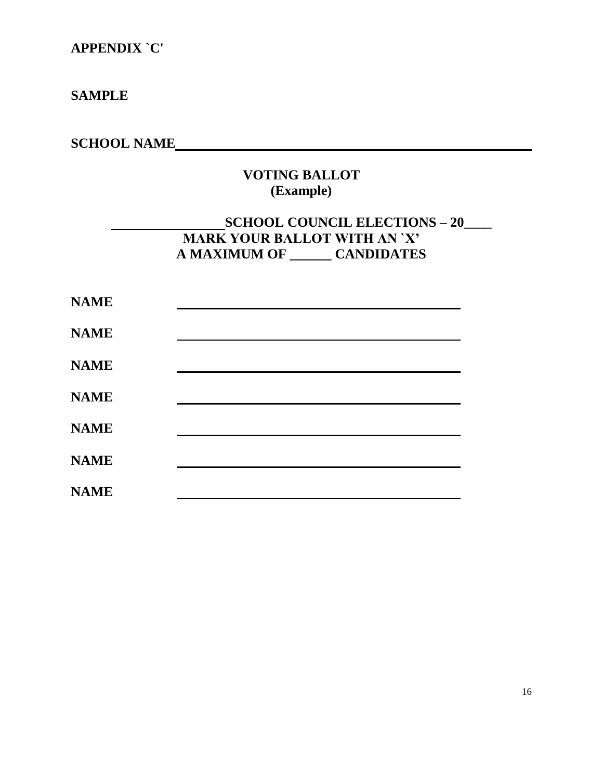## **APPENDIX `C'**

### **SAMPLE**

# **SCHOOL NAME**

## **VOTING BALLOT (Example)**

### **SCHOOL COUNCIL ELECTIONS – 20\_\_\_\_ MARK YOUR BALLOT WITH AN `X' A MAXIMUM OF \_\_\_\_\_\_ CANDIDATES**

| <b>NAME</b> |  |
|-------------|--|
| <b>NAME</b> |  |
| <b>NAME</b> |  |
| <b>NAME</b> |  |
| <b>NAME</b> |  |
| <b>NAME</b> |  |
| <b>NAME</b> |  |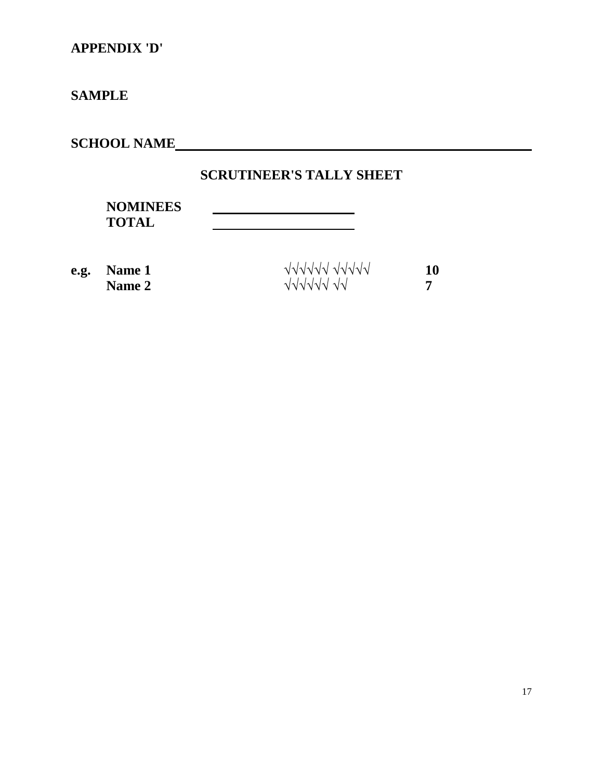# **APPENDIX 'D'**

# **SAMPLE**

**SCHOOL NAME**

## **SCRUTINEER'S TALLY SHEET**

| <b>NOMINEES</b> |  |
|-----------------|--|
| <b>TOTAL</b>    |  |
|                 |  |

| e.g. Name 1   | VVVVVVVVVV | 10 |
|---------------|------------|----|
| <b>Name 2</b> | JJJJJJ JJ  |    |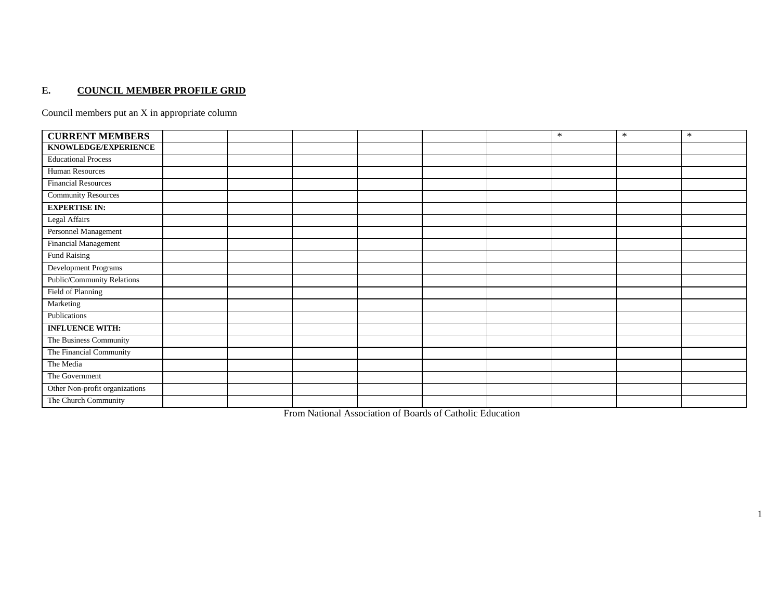#### **E. COUNCIL MEMBER PROFILE GRID**

Council members put an X in appropriate column

| <b>CURRENT MEMBERS</b>         |  |  |  | $\ast$ | $\ast$ | $\ast$ |
|--------------------------------|--|--|--|--------|--------|--------|
| KNOWLEDGE/EXPERIENCE           |  |  |  |        |        |        |
| <b>Educational Process</b>     |  |  |  |        |        |        |
| Human Resources                |  |  |  |        |        |        |
| <b>Financial Resources</b>     |  |  |  |        |        |        |
| <b>Community Resources</b>     |  |  |  |        |        |        |
| <b>EXPERTISE IN:</b>           |  |  |  |        |        |        |
| Legal Affairs                  |  |  |  |        |        |        |
| Personnel Management           |  |  |  |        |        |        |
| Financial Management           |  |  |  |        |        |        |
| <b>Fund Raising</b>            |  |  |  |        |        |        |
| Development Programs           |  |  |  |        |        |        |
| Public/Community Relations     |  |  |  |        |        |        |
| Field of Planning              |  |  |  |        |        |        |
| Marketing                      |  |  |  |        |        |        |
| Publications                   |  |  |  |        |        |        |
| <b>INFLUENCE WITH:</b>         |  |  |  |        |        |        |
| The Business Community         |  |  |  |        |        |        |
| The Financial Community        |  |  |  |        |        |        |
| The Media                      |  |  |  |        |        |        |
| The Government                 |  |  |  |        |        |        |
| Other Non-profit organizations |  |  |  |        |        |        |
| The Church Community           |  |  |  |        |        |        |

From National Association of Boards of Catholic Education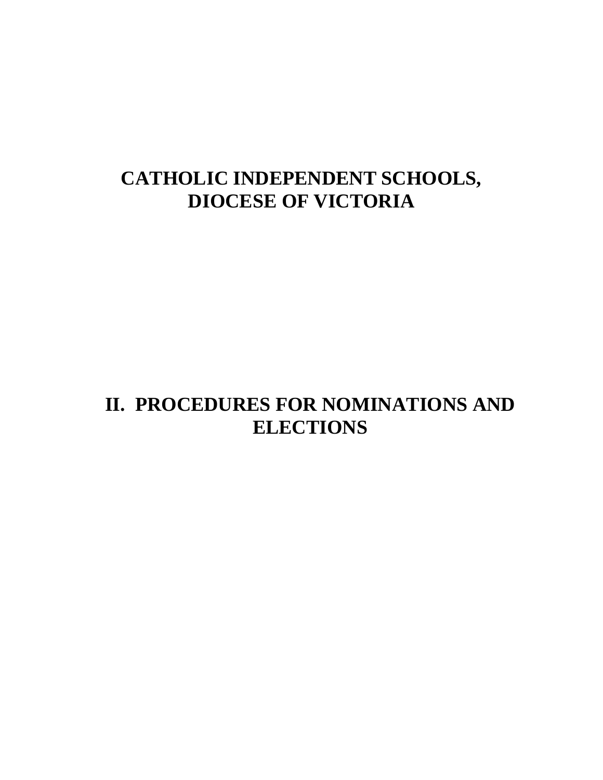# **CATHOLIC INDEPENDENT SCHOOLS, DIOCESE OF VICTORIA**

# **II. PROCEDURES FOR NOMINATIONS AND ELECTIONS**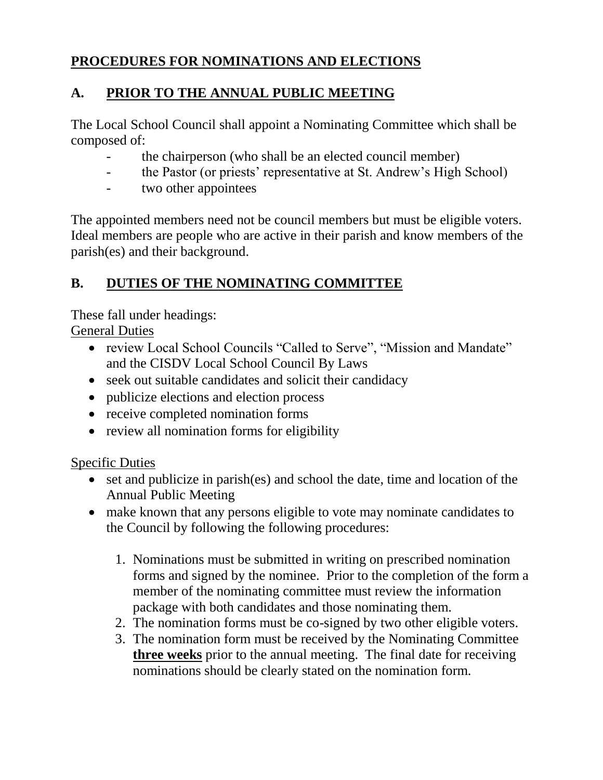# **PROCEDURES FOR NOMINATIONS AND ELECTIONS**

# **A. PRIOR TO THE ANNUAL PUBLIC MEETING**

The Local School Council shall appoint a Nominating Committee which shall be composed of:

- the chairperson (who shall be an elected council member)
- the Pastor (or priests' representative at St. Andrew's High School)
- two other appointees

The appointed members need not be council members but must be eligible voters. Ideal members are people who are active in their parish and know members of the parish(es) and their background.

# **B. DUTIES OF THE NOMINATING COMMITTEE**

These fall under headings: General Duties

- review Local School Councils "Called to Serve", "Mission and Mandate" and the CISDV Local School Council By Laws
- seek out suitable candidates and solicit their candidacy
- publicize elections and election process
- receive completed nomination forms
- review all nomination forms for eligibility

## Specific Duties

- set and publicize in parish(es) and school the date, time and location of the Annual Public Meeting
- make known that any persons eligible to vote may nominate candidates to the Council by following the following procedures:
	- 1. Nominations must be submitted in writing on prescribed nomination forms and signed by the nominee. Prior to the completion of the form a member of the nominating committee must review the information package with both candidates and those nominating them.
	- 2. The nomination forms must be co-signed by two other eligible voters.
	- 3. The nomination form must be received by the Nominating Committee **three weeks** prior to the annual meeting. The final date for receiving nominations should be clearly stated on the nomination form.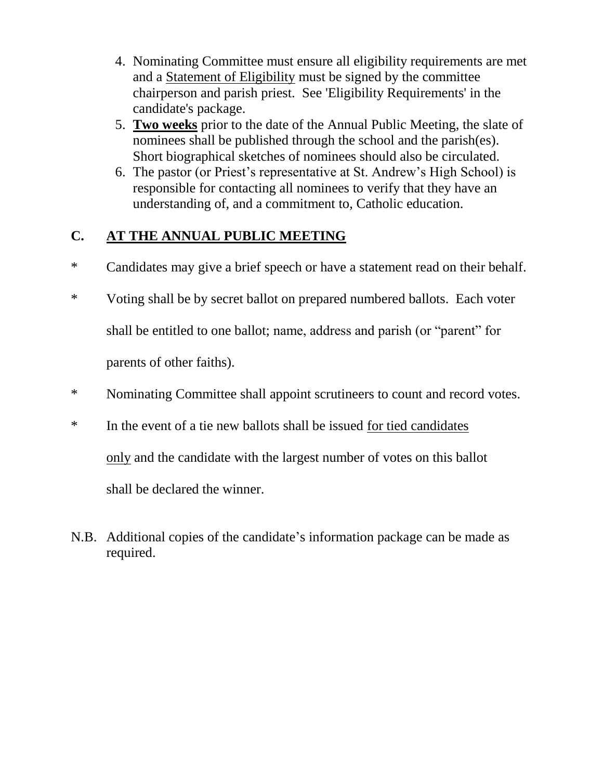- 4. Nominating Committee must ensure all eligibility requirements are met and a Statement of Eligibility must be signed by the committee chairperson and parish priest. See 'Eligibility Requirements' in the candidate's package.
- 5. **Two weeks** prior to the date of the Annual Public Meeting, the slate of nominees shall be published through the school and the parish(es). Short biographical sketches of nominees should also be circulated.
- 6. The pastor (or Priest's representative at St. Andrew's High School) is responsible for contacting all nominees to verify that they have an understanding of, and a commitment to, Catholic education.

## **C. AT THE ANNUAL PUBLIC MEETING**

- \* Candidates may give a brief speech or have a statement read on their behalf.
- \* Voting shall be by secret ballot on prepared numbered ballots. Each voter shall be entitled to one ballot; name, address and parish (or "parent" for parents of other faiths).
- \* Nominating Committee shall appoint scrutineers to count and record votes.
- \* In the event of a tie new ballots shall be issued for tied candidates only and the candidate with the largest number of votes on this ballot shall be declared the winner.
- N.B. Additional copies of the candidate's information package can be made as required.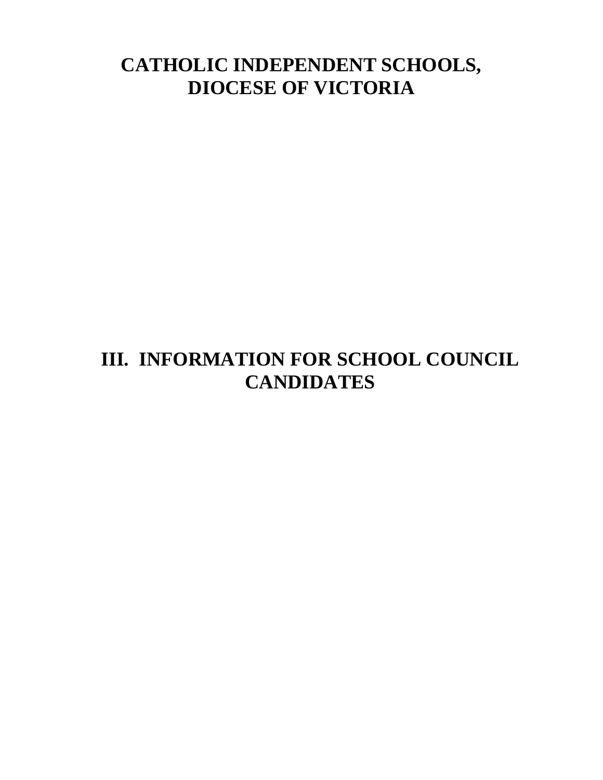# **CATHOLIC INDEPENDENT SCHOOLS, DIOCESE OF VICTORIA**

# **III. INFORMATION FOR SCHOOL COUNCIL CANDIDATES**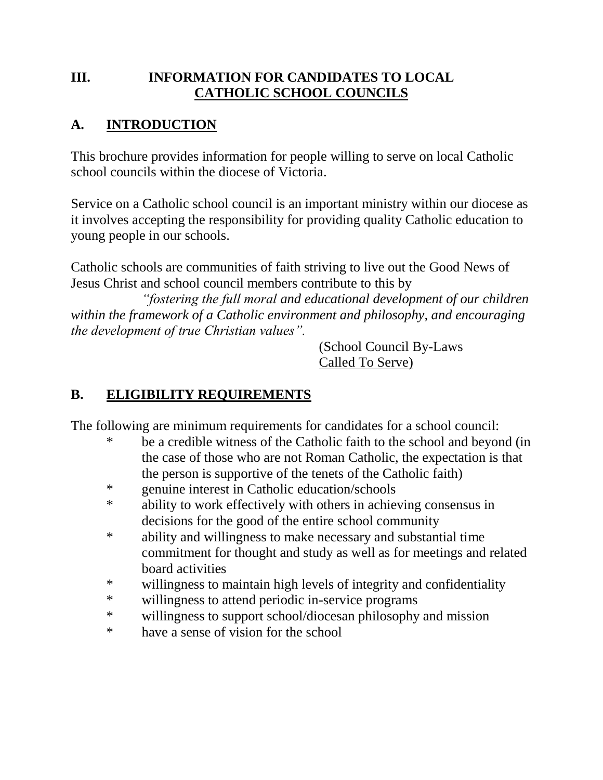## **III. INFORMATION FOR CANDIDATES TO LOCAL CATHOLIC SCHOOL COUNCILS**

## **A. INTRODUCTION**

This brochure provides information for people willing to serve on local Catholic school councils within the diocese of Victoria.

Service on a Catholic school council is an important ministry within our diocese as it involves accepting the responsibility for providing quality Catholic education to young people in our schools.

Catholic schools are communities of faith striving to live out the Good News of Jesus Christ and school council members contribute to this by

*"fostering the full moral and educational development of our children within the framework of a Catholic environment and philosophy, and encouraging the development of true Christian values".*

> (School Council By-Laws Called To Serve)

# **B. ELIGIBILITY REQUIREMENTS**

The following are minimum requirements for candidates for a school council:

- \* be a credible witness of the Catholic faith to the school and beyond (in the case of those who are not Roman Catholic, the expectation is that the person is supportive of the tenets of the Catholic faith)
- \* genuine interest in Catholic education/schools
- \* ability to work effectively with others in achieving consensus in decisions for the good of the entire school community
- \* ability and willingness to make necessary and substantial time commitment for thought and study as well as for meetings and related board activities
- \* willingness to maintain high levels of integrity and confidentiality
- \* willingness to attend periodic in-service programs
- \* willingness to support school/diocesan philosophy and mission
- \* have a sense of vision for the school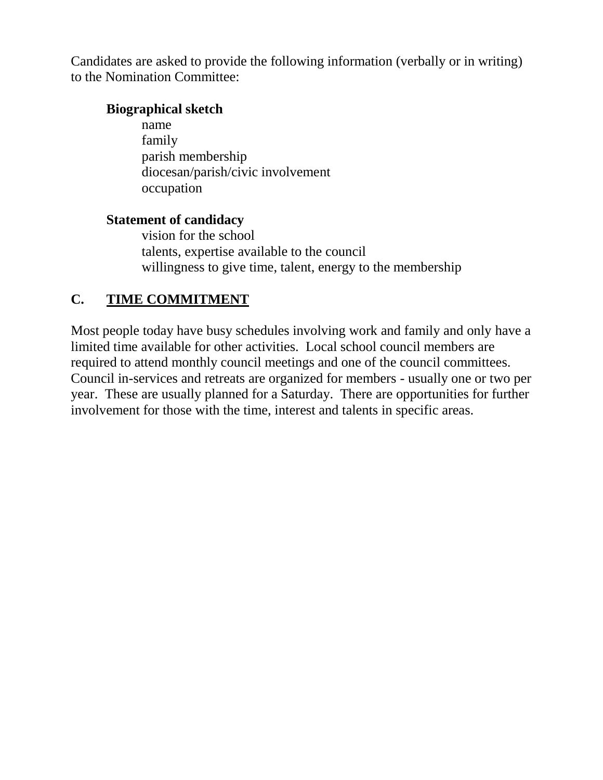Candidates are asked to provide the following information (verbally or in writing) to the Nomination Committee:

### **Biographical sketch**

name family parish membership diocesan/parish/civic involvement occupation

### **Statement of candidacy**

vision for the school talents, expertise available to the council willingness to give time, talent, energy to the membership

## **C. TIME COMMITMENT**

Most people today have busy schedules involving work and family and only have a limited time available for other activities. Local school council members are required to attend monthly council meetings and one of the council committees. Council in-services and retreats are organized for members - usually one or two per year. These are usually planned for a Saturday. There are opportunities for further involvement for those with the time, interest and talents in specific areas.